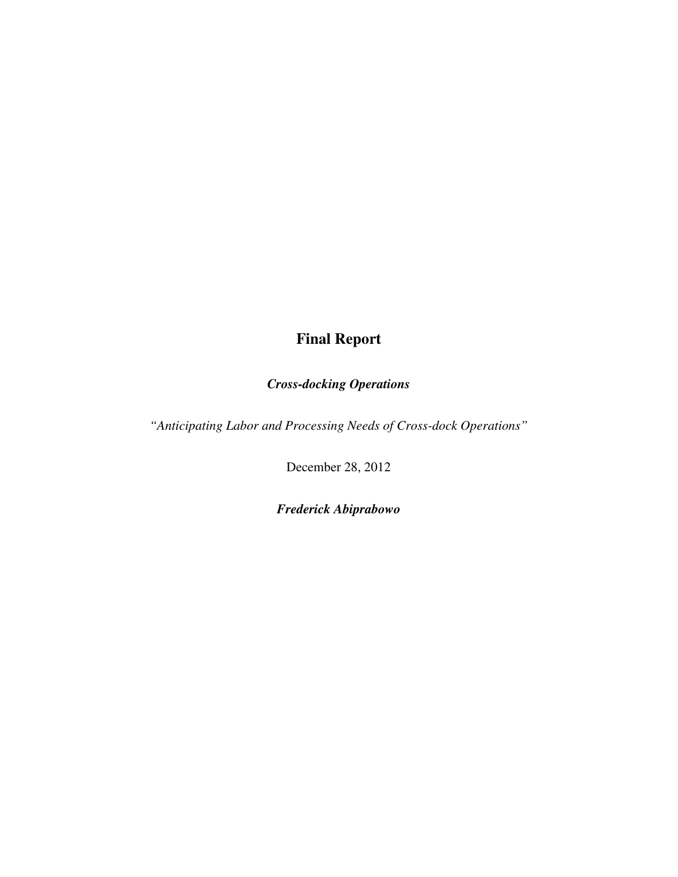# **Final Report**

# *Cross-docking Operations*

*"Anticipating Labor and Processing Needs of Cross-dock Operations"* 

December 28, 2012

*Frederick Abiprabowo*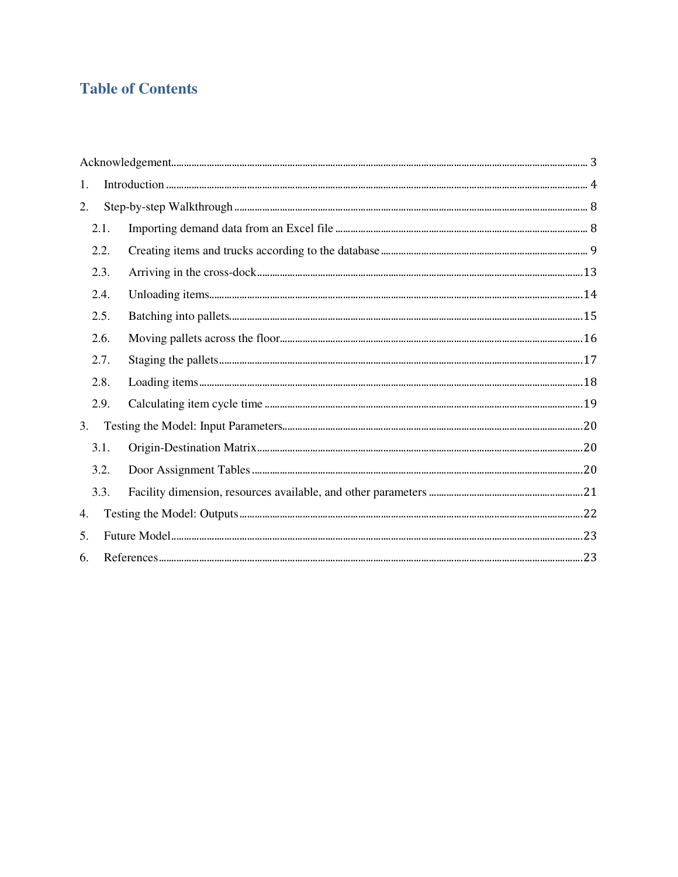# **Table of Contents**

| 1. |      |  |  |
|----|------|--|--|
| 2. |      |  |  |
|    | 2.1. |  |  |
|    | 2.2. |  |  |
|    | 2.3. |  |  |
|    | 2.4. |  |  |
|    | 2.5. |  |  |
|    | 2.6. |  |  |
|    | 2.7. |  |  |
|    | 2.8. |  |  |
|    | 2.9. |  |  |
| 3. |      |  |  |
|    | 3.1. |  |  |
|    | 3.2. |  |  |
|    | 3.3. |  |  |
| 4. |      |  |  |
| 5. |      |  |  |
| 6. |      |  |  |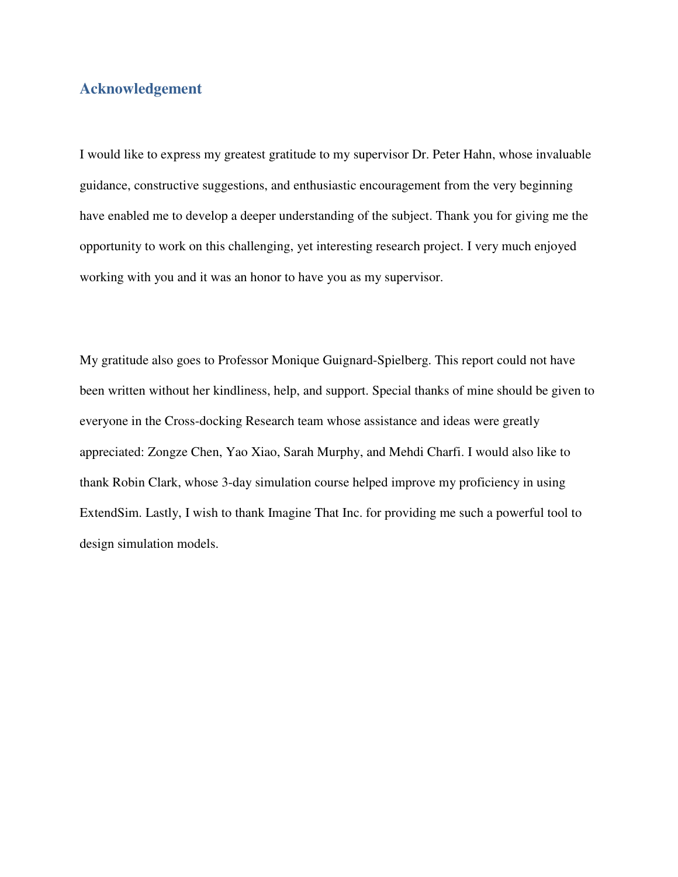### **Acknowledgement**

I would like to express my greatest gratitude to my supervisor Dr. Peter Hahn, whose invaluable guidance, constructive suggestions, and enthusiastic encouragement from the very beginning have enabled me to develop a deeper understanding of the subject. Thank you for giving me the opportunity to work on this challenging, yet interesting research project. I very much enjoyed working with you and it was an honor to have you as my supervisor.

My gratitude also goes to Professor Monique Guignard-Spielberg. This report could not have been written without her kindliness, help, and support. Special thanks of mine should be given to everyone in the Cross-docking Research team whose assistance and ideas were greatly appreciated: Zongze Chen, Yao Xiao, Sarah Murphy, and Mehdi Charfi. I would also like to thank Robin Clark, whose 3-day simulation course helped improve my proficiency in using ExtendSim. Lastly, I wish to thank Imagine That Inc. for providing me such a powerful tool to design simulation models.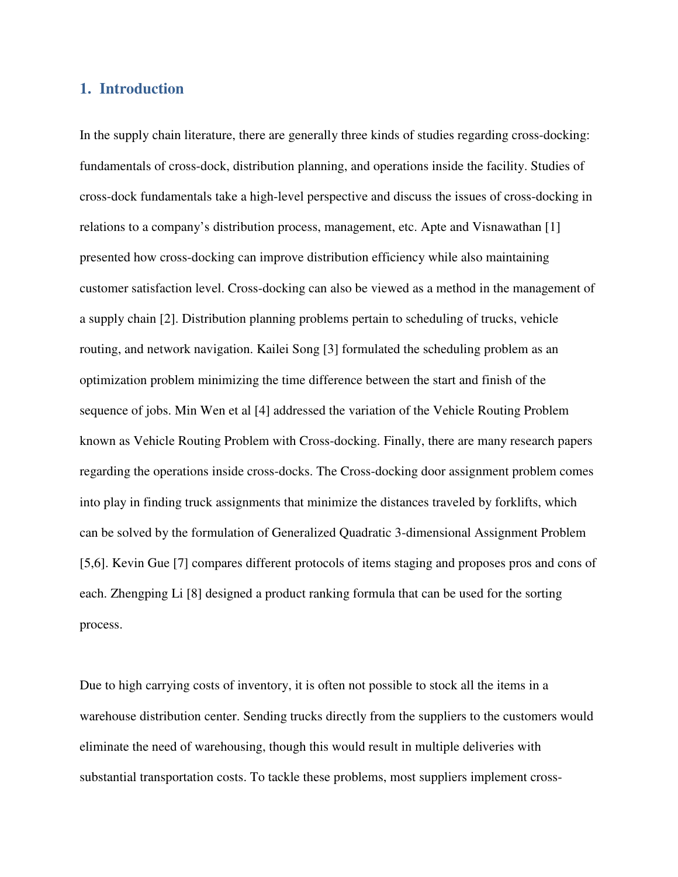#### **1. Introduction**

In the supply chain literature, there are generally three kinds of studies regarding cross-docking: fundamentals of cross-dock, distribution planning, and operations inside the facility. Studies of cross-dock fundamentals take a high-level perspective and discuss the issues of cross-docking in relations to a company's distribution process, management, etc. Apte and Visnawathan [1] presented how cross-docking can improve distribution efficiency while also maintaining customer satisfaction level. Cross-docking can also be viewed as a method in the management of a supply chain [2]. Distribution planning problems pertain to scheduling of trucks, vehicle routing, and network navigation. Kailei Song [3] formulated the scheduling problem as an optimization problem minimizing the time difference between the start and finish of the sequence of jobs. Min Wen et al [4] addressed the variation of the Vehicle Routing Problem known as Vehicle Routing Problem with Cross-docking. Finally, there are many research papers regarding the operations inside cross-docks. The Cross-docking door assignment problem comes into play in finding truck assignments that minimize the distances traveled by forklifts, which can be solved by the formulation of Generalized Quadratic 3-dimensional Assignment Problem [5,6]. Kevin Gue [7] compares different protocols of items staging and proposes pros and cons of each. Zhengping Li [8] designed a product ranking formula that can be used for the sorting process.

Due to high carrying costs of inventory, it is often not possible to stock all the items in a warehouse distribution center. Sending trucks directly from the suppliers to the customers would eliminate the need of warehousing, though this would result in multiple deliveries with substantial transportation costs. To tackle these problems, most suppliers implement cross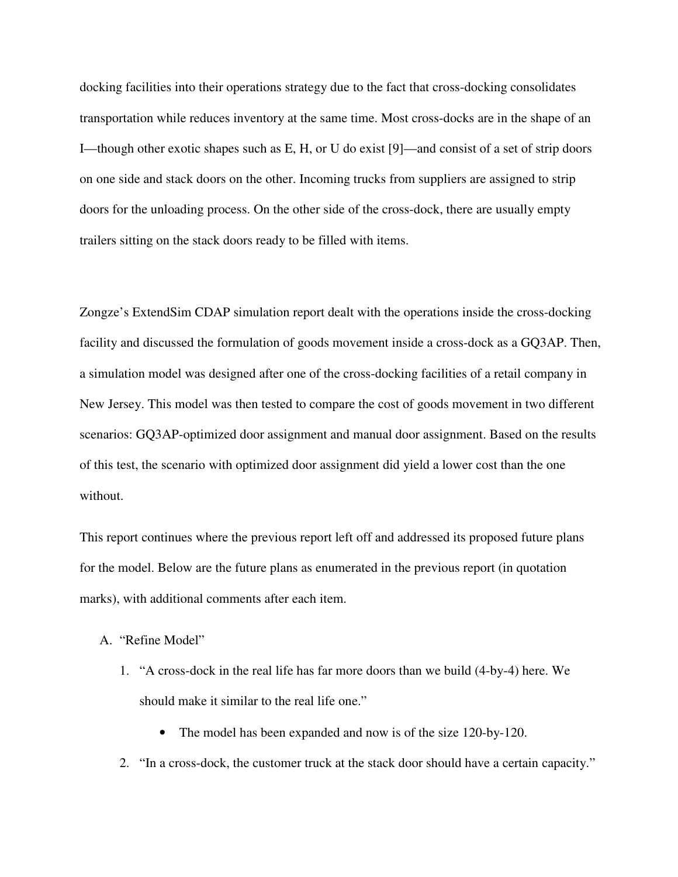docking facilities into their operations strategy due to the fact that cross-docking consolidates transportation while reduces inventory at the same time. Most cross-docks are in the shape of an I—though other exotic shapes such as E, H, or U do exist [9]—and consist of a set of strip doors on one side and stack doors on the other. Incoming trucks from suppliers are assigned to strip doors for the unloading process. On the other side of the cross-dock, there are usually empty trailers sitting on the stack doors ready to be filled with items.

Zongze's ExtendSim CDAP simulation report dealt with the operations inside the cross-docking facility and discussed the formulation of goods movement inside a cross-dock as a GQ3AP. Then, a simulation model was designed after one of the cross-docking facilities of a retail company in New Jersey. This model was then tested to compare the cost of goods movement in two different scenarios: GQ3AP-optimized door assignment and manual door assignment. Based on the results of this test, the scenario with optimized door assignment did yield a lower cost than the one without.

This report continues where the previous report left off and addressed its proposed future plans for the model. Below are the future plans as enumerated in the previous report (in quotation marks), with additional comments after each item.

- A. "Refine Model"
	- 1. "A cross-dock in the real life has far more doors than we build (4-by-4) here. We should make it similar to the real life one."
		- The model has been expanded and now is of the size 120-by-120.
	- 2. "In a cross-dock, the customer truck at the stack door should have a certain capacity."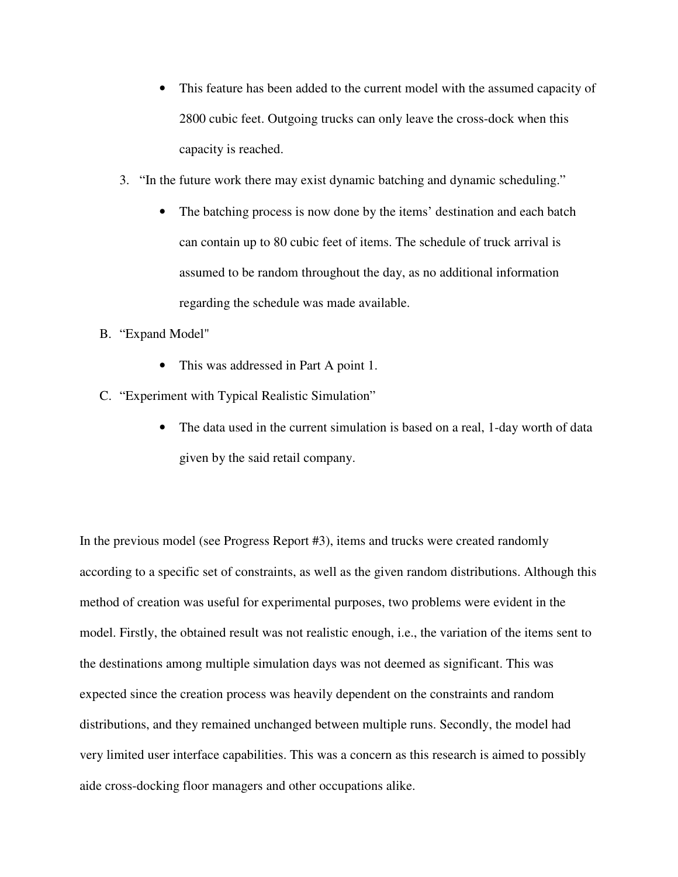- This feature has been added to the current model with the assumed capacity of 2800 cubic feet. Outgoing trucks can only leave the cross-dock when this capacity is reached.
- 3. "In the future work there may exist dynamic batching and dynamic scheduling."
	- The batching process is now done by the items' destination and each batch can contain up to 80 cubic feet of items. The schedule of truck arrival is assumed to be random throughout the day, as no additional information regarding the schedule was made available.
- B. "Expand Model"
	- This was addressed in Part A point 1.
- C. "Experiment with Typical Realistic Simulation"
	- The data used in the current simulation is based on a real, 1-day worth of data given by the said retail company.

In the previous model (see Progress Report #3), items and trucks were created randomly according to a specific set of constraints, as well as the given random distributions. Although this method of creation was useful for experimental purposes, two problems were evident in the model. Firstly, the obtained result was not realistic enough, i.e., the variation of the items sent to the destinations among multiple simulation days was not deemed as significant. This was expected since the creation process was heavily dependent on the constraints and random distributions, and they remained unchanged between multiple runs. Secondly, the model had very limited user interface capabilities. This was a concern as this research is aimed to possibly aide cross-docking floor managers and other occupations alike.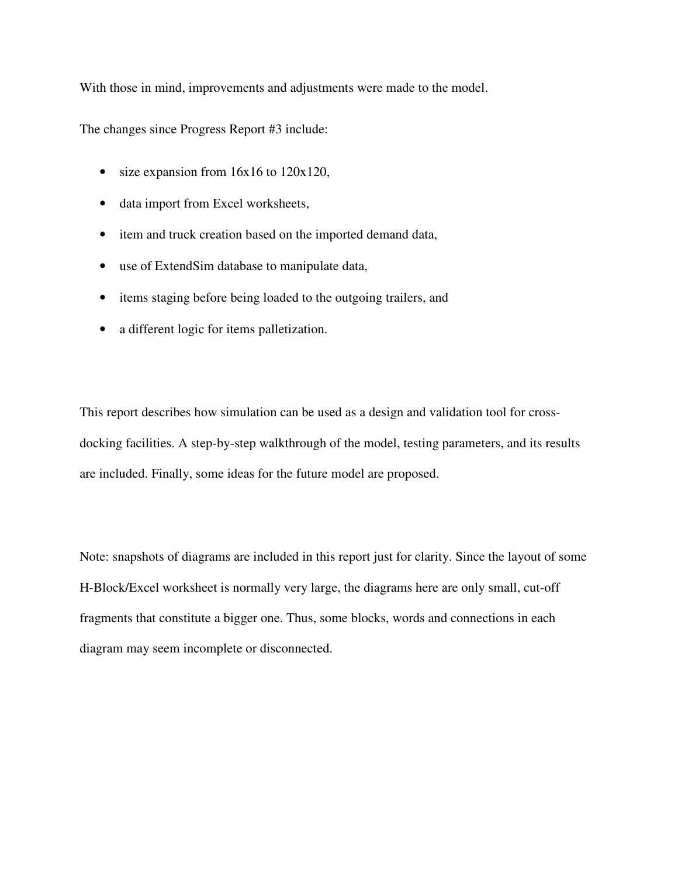With those in mind, improvements and adjustments were made to the model.

The changes since Progress Report #3 include:

- size expansion from 16x16 to 120x120,
- data import from Excel worksheets,
- item and truck creation based on the imported demand data,
- use of ExtendSim database to manipulate data,
- items staging before being loaded to the outgoing trailers, and
- a different logic for items palletization.

This report describes how simulation can be used as a design and validation tool for crossdocking facilities. A step-by-step walkthrough of the model, testing parameters, and its results are included. Finally, some ideas for the future model are proposed.

Note: snapshots of diagrams are included in this report just for clarity. Since the layout of some H-Block/Excel worksheet is normally very large, the diagrams here are only small, cut-off fragments that constitute a bigger one. Thus, some blocks, words and connections in each diagram may seem incomplete or disconnected.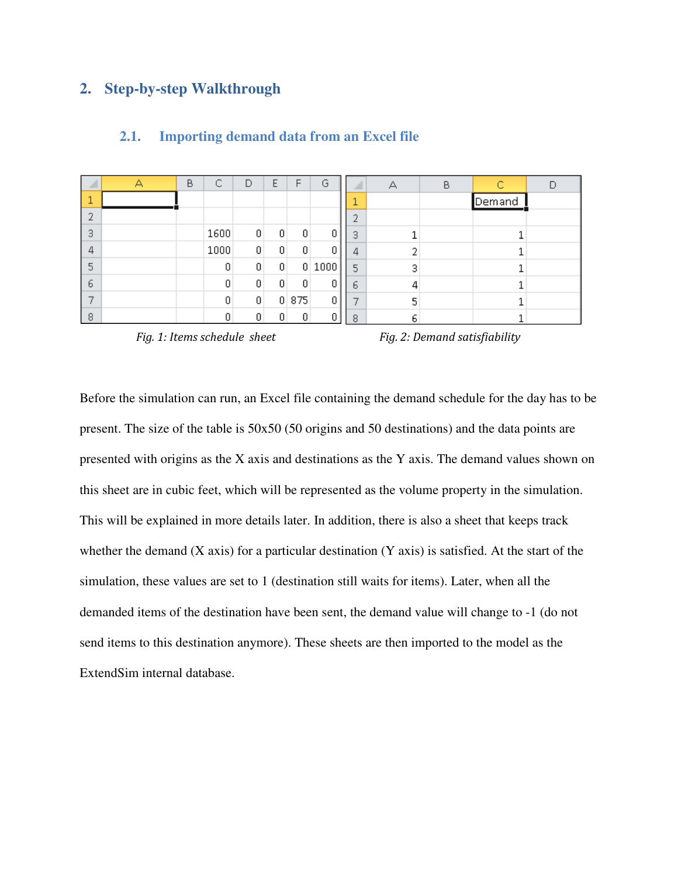# **2. Step-by-step Walkthrough**

|   | А | В | ◠<br>◡ | D               | Е              | F     | G              |   | А  | B |        |  |
|---|---|---|--------|-----------------|----------------|-------|----------------|---|----|---|--------|--|
|   |   |   |        |                 |                |       |                |   |    |   | Demand |  |
| o |   |   |        |                 |                |       |                |   |    |   |        |  |
| з |   |   | 1600   | $\vert 0 \vert$ | $\overline{0}$ | 0     | 01             | 3 |    |   |        |  |
| 4 |   |   | 1000   | 0               | 0              | 0     | $\overline{0}$ | 4 |    |   |        |  |
| 5 |   |   | 0      | 0               | 0              |       | 0 1000         | 5 | 3  |   |        |  |
| 6 |   |   | 0      | 0               | 0              | 0     | 0              | ь | 4  |   |        |  |
|   |   |   | 0      | 0               |                | 0 875 | 0              |   | 5  |   |        |  |
| 8 |   |   | Ū      | 0               | Ω              | n     |                | 8 | 6. |   |        |  |

#### **2.1. Importing demand data from an Excel file**

*Fig. 1: Items schedule sheet* Fig. 2: Demand satisfiability

Before the simulation can run, an Excel file containing the demand schedule for the day has to be present. The size of the table is 50x50 (50 origins and 50 destinations) and the data points are presented with origins as the X axis and destinations as the Y axis. The demand values shown on this sheet are in cubic feet, which will be represented as the volume property in the simulation. This will be explained in more details later. In addition, there is also a sheet that keeps track whether the demand  $(X \text{ axis})$  for a particular destination  $(Y \text{ axis})$  is satisfied. At the start of the simulation, these values are set to 1 (destination still waits for items). Later, when all the demanded items of the destination have been sent, the demand value will change to -1 (do not send items to this destination anymore). These sheets are then imported to the model as the ExtendSim internal database.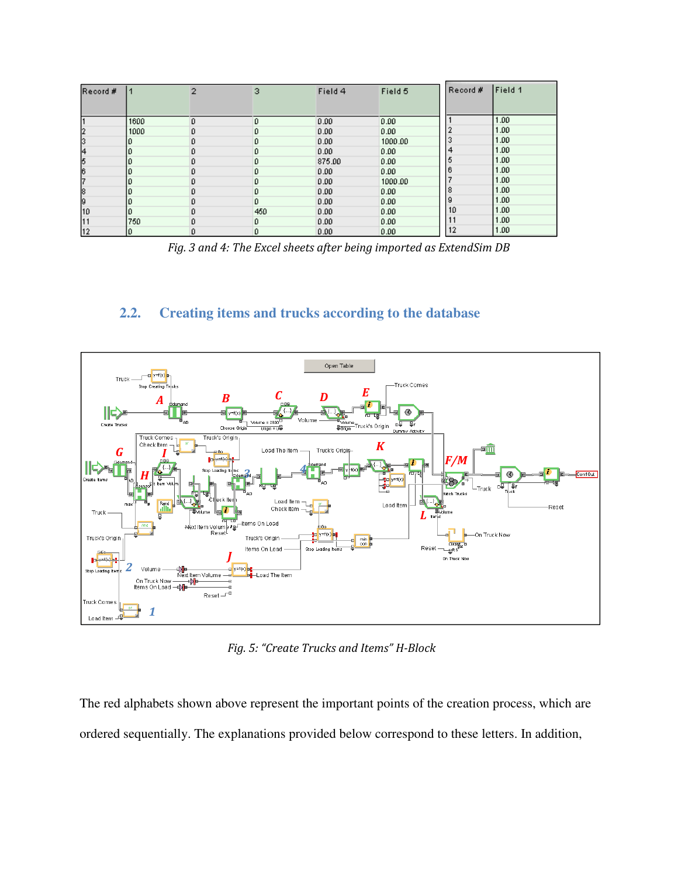| Record #       |      | 2  | з   | Field 4 | Field 5 | Record # | Field 1 |
|----------------|------|----|-----|---------|---------|----------|---------|
| 11             | 1600 | n  | 0   | 0.00    | 0.00    |          | 1.00    |
| 2              | 1000 | Ũ. | o   | 0.00    | 0.00    |          | 1.00    |
| 3              |      | Û  | Ũ.  | 0.00    | 1000.00 | 3        | 1.00    |
| $\overline{4}$ |      | û  | o   | 0.00    | 0.00    | 4        | 1.00    |
| 5              |      | n  | 0.  | 875.00  | 0.00    | 5        | 1.00    |
| 6              |      |    | Ũ   | 0.00    | 0.00    | 6        | 1.00    |
| 7              |      | n. | 0   | 0.00    | 1000.00 |          | 1.00    |
| 8              |      |    | Ũ.  | 0.00    | 0.00    | 8        | 1.00    |
| 9              |      | Ũ. | D.  | 0.00    | 0.00    | 9        | 1.00    |
| 10             |      | n  | 450 | 0.00    | 0.00    | 10       | 1.00    |
| 11             | 750  | n  | D.  | 0.00    | 0.00    |          | 1.00    |
| 12             |      | Ũ. | o   | 0.00    | 0.00    | 12       | 1.00    |

*Fig. 3 and 4: The Excel sheets after being imported as ExtendSim DB* 

### **2.2. Creating items and trucks according to the database**



*Fig. 5: "Create Trucks and Items" H-Block* 

The red alphabets shown above represent the important points of the creation process, which are ordered sequentially. The explanations provided below correspond to these letters. In addition,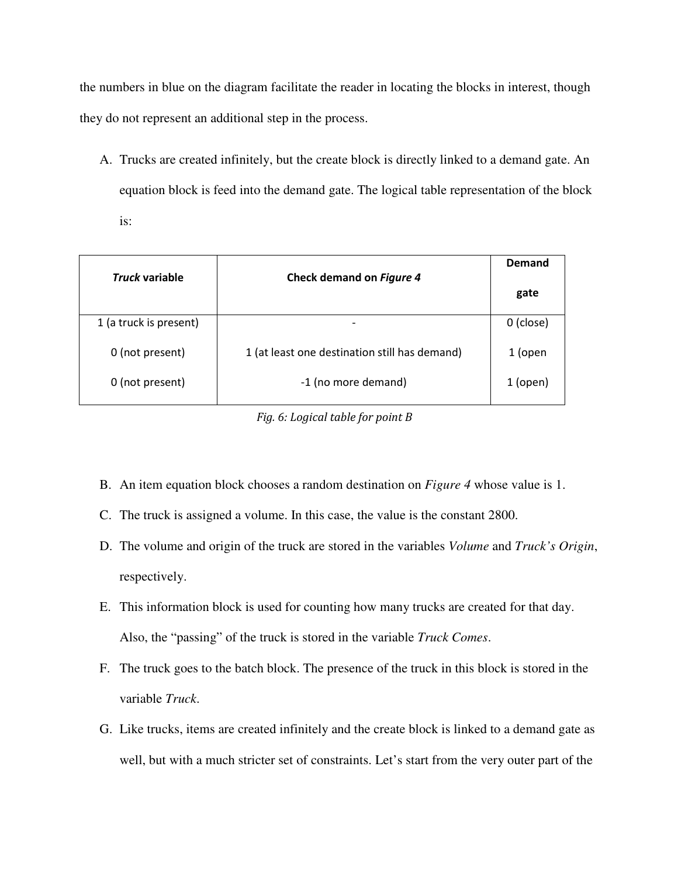the numbers in blue on the diagram facilitate the reader in locating the blocks in interest, though they do not represent an additional step in the process.

A. Trucks are created infinitely, but the create block is directly linked to a demand gate. An equation block is feed into the demand gate. The logical table representation of the block is:

| Truck variable         | Check demand on Figure 4                      | Demand    |
|------------------------|-----------------------------------------------|-----------|
|                        |                                               | gate      |
| 1 (a truck is present) |                                               | 0 (close) |
| 0 (not present)        | 1 (at least one destination still has demand) | 1 (open   |
| 0 (not present)        | -1 (no more demand)                           | 1 (open)  |

*Fig. 6: Logical table for point B* 

- B. An item equation block chooses a random destination on *Figure 4* whose value is 1.
- C. The truck is assigned a volume. In this case, the value is the constant 2800.
- D. The volume and origin of the truck are stored in the variables *Volume* and *Truck's Origin*, respectively.
- E. This information block is used for counting how many trucks are created for that day. Also, the "passing" of the truck is stored in the variable *Truck Comes*.
- F. The truck goes to the batch block. The presence of the truck in this block is stored in the variable *Truck*.
- G. Like trucks, items are created infinitely and the create block is linked to a demand gate as well, but with a much stricter set of constraints. Let's start from the very outer part of the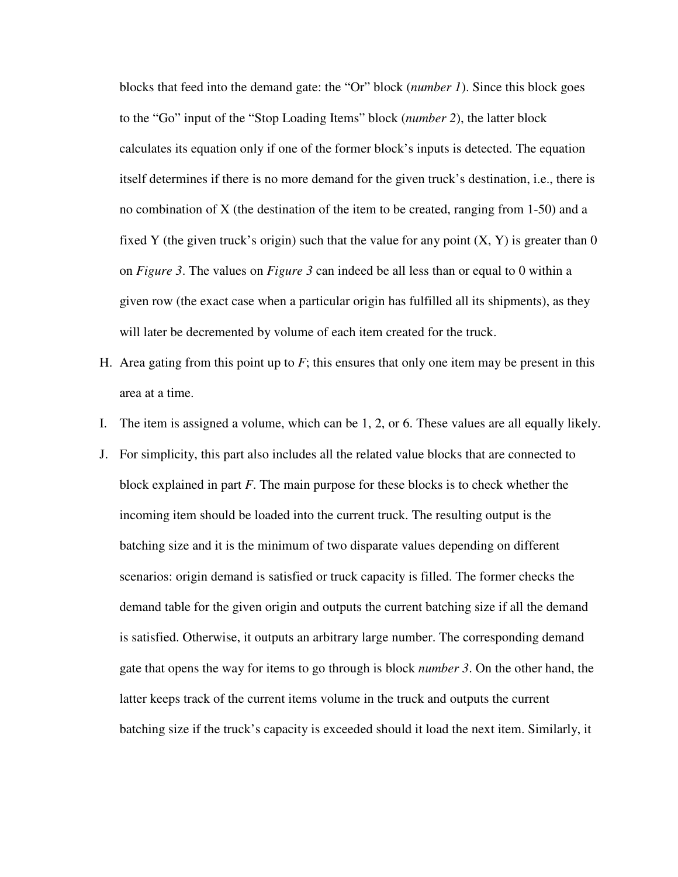blocks that feed into the demand gate: the "Or" block (*number 1*). Since this block goes to the "Go" input of the "Stop Loading Items" block (*number 2*), the latter block calculates its equation only if one of the former block's inputs is detected. The equation itself determines if there is no more demand for the given truck's destination, i.e., there is no combination of X (the destination of the item to be created, ranging from 1-50) and a fixed Y (the given truck's origin) such that the value for any point  $(X, Y)$  is greater than 0 on *Figure 3*. The values on *Figure 3* can indeed be all less than or equal to 0 within a given row (the exact case when a particular origin has fulfilled all its shipments), as they will later be decremented by volume of each item created for the truck.

- H. Area gating from this point up to  $F$ ; this ensures that only one item may be present in this area at a time.
- I. The item is assigned a volume, which can be 1, 2, or 6. These values are all equally likely.
- J. For simplicity, this part also includes all the related value blocks that are connected to block explained in part *F*. The main purpose for these blocks is to check whether the incoming item should be loaded into the current truck. The resulting output is the batching size and it is the minimum of two disparate values depending on different scenarios: origin demand is satisfied or truck capacity is filled. The former checks the demand table for the given origin and outputs the current batching size if all the demand is satisfied. Otherwise, it outputs an arbitrary large number. The corresponding demand gate that opens the way for items to go through is block *number 3*. On the other hand, the latter keeps track of the current items volume in the truck and outputs the current batching size if the truck's capacity is exceeded should it load the next item. Similarly, it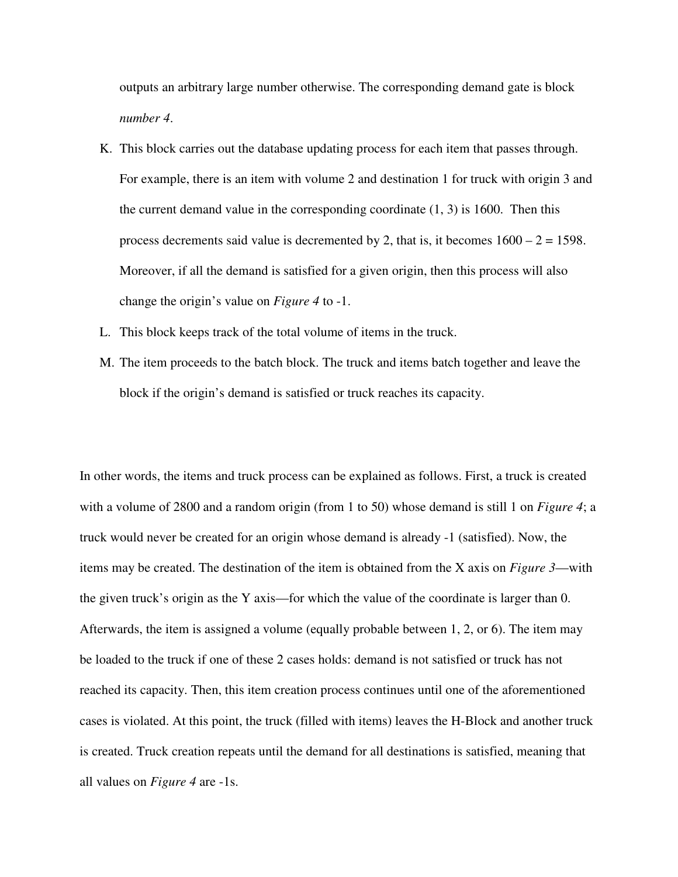outputs an arbitrary large number otherwise. The corresponding demand gate is block *number 4*.

- K. This block carries out the database updating process for each item that passes through. For example, there is an item with volume 2 and destination 1 for truck with origin 3 and the current demand value in the corresponding coordinate  $(1, 3)$  is 1600. Then this process decrements said value is decremented by 2, that is, it becomes  $1600 - 2 = 1598$ . Moreover, if all the demand is satisfied for a given origin, then this process will also change the origin's value on *Figure 4* to -1.
- L. This block keeps track of the total volume of items in the truck.
- M. The item proceeds to the batch block. The truck and items batch together and leave the block if the origin's demand is satisfied or truck reaches its capacity.

In other words, the items and truck process can be explained as follows. First, a truck is created with a volume of 2800 and a random origin (from 1 to 50) whose demand is still 1 on *Figure 4*; a truck would never be created for an origin whose demand is already -1 (satisfied). Now, the items may be created. The destination of the item is obtained from the X axis on *Figure 3*—with the given truck's origin as the Y axis—for which the value of the coordinate is larger than 0. Afterwards, the item is assigned a volume (equally probable between 1, 2, or 6). The item may be loaded to the truck if one of these 2 cases holds: demand is not satisfied or truck has not reached its capacity. Then, this item creation process continues until one of the aforementioned cases is violated. At this point, the truck (filled with items) leaves the H-Block and another truck is created. Truck creation repeats until the demand for all destinations is satisfied, meaning that all values on *Figure 4* are -1s.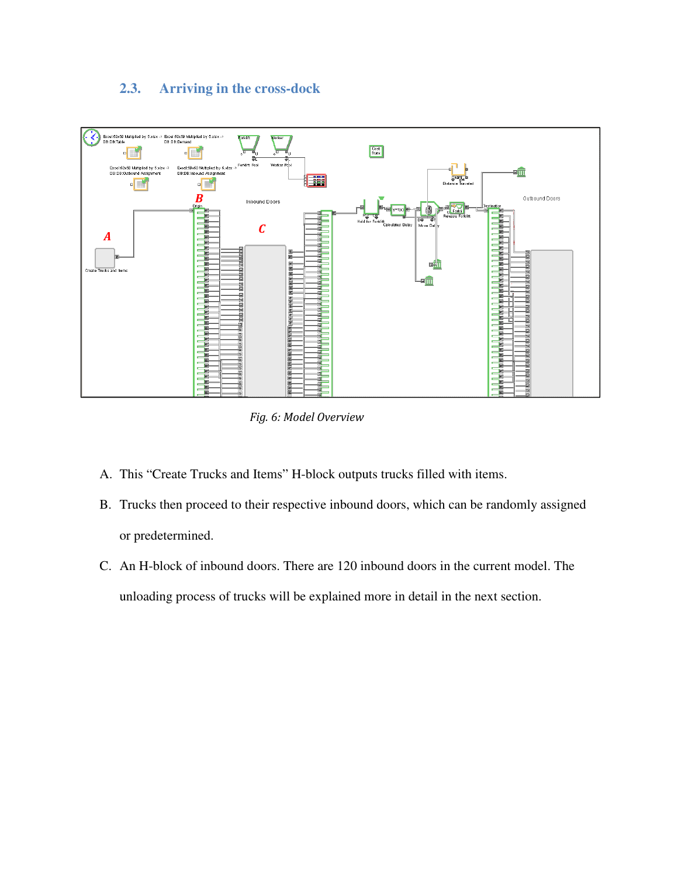# **2.3. Arriving in the cross-dock**



*Fig. 6: Model Overview* 

- A. This "Create Trucks and Items" H-block outputs trucks filled with items.
- B. Trucks then proceed to their respective inbound doors, which can be randomly assigned or predetermined.
- C. An H-block of inbound doors. There are 120 inbound doors in the current model. The unloading process of trucks will be explained more in detail in the next section.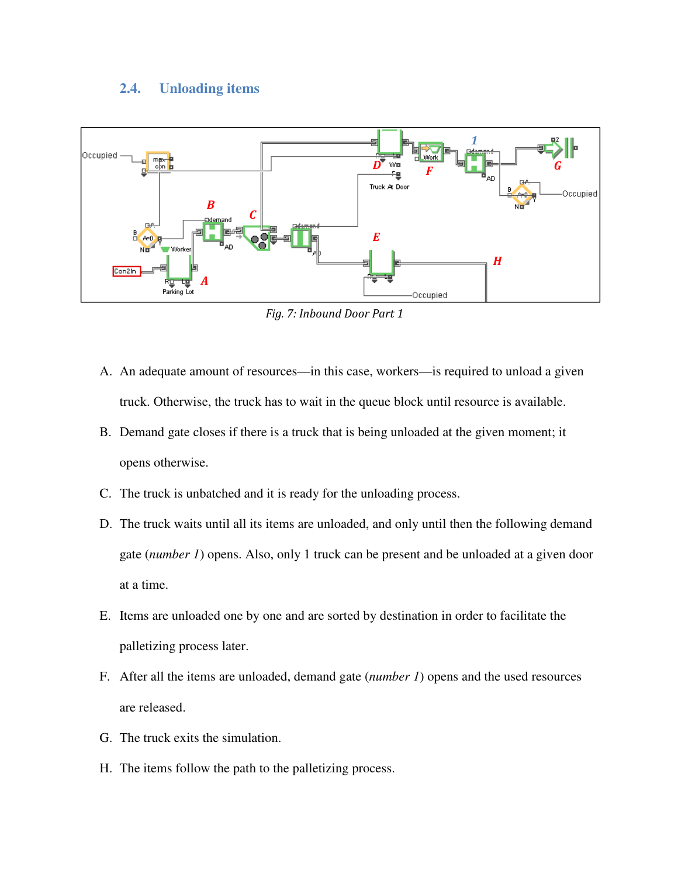#### **2.4. Unloading items**



*Fig. 7: Inbound Door Part 1* 

- A. An adequate amount of resources—in this case, workers—is required to unload a given truck. Otherwise, the truck has to wait in the queue block until resource is available.
- B. Demand gate closes if there is a truck that is being unloaded at the given moment; it opens otherwise.
- C. The truck is unbatched and it is ready for the unloading process.
- D. The truck waits until all its items are unloaded, and only until then the following demand gate (*number 1*) opens. Also, only 1 truck can be present and be unloaded at a given door at a time.
- E. Items are unloaded one by one and are sorted by destination in order to facilitate the palletizing process later.
- F. After all the items are unloaded, demand gate (*number 1*) opens and the used resources are released.
- G. The truck exits the simulation.
- H. The items follow the path to the palletizing process.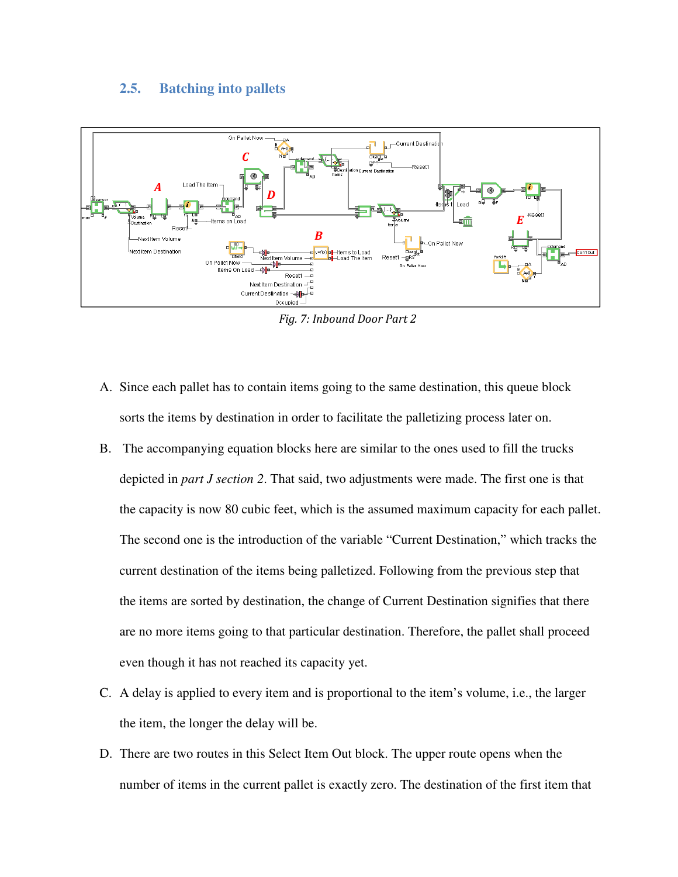#### **2.5. Batching into pallets**



*Fig. 7: Inbound Door Part 2* 

- A. Since each pallet has to contain items going to the same destination, this queue block sorts the items by destination in order to facilitate the palletizing process later on.
- B. The accompanying equation blocks here are similar to the ones used to fill the trucks depicted in *part J section 2*. That said, two adjustments were made. The first one is that the capacity is now 80 cubic feet, which is the assumed maximum capacity for each pallet. The second one is the introduction of the variable "Current Destination," which tracks the current destination of the items being palletized. Following from the previous step that the items are sorted by destination, the change of Current Destination signifies that there are no more items going to that particular destination. Therefore, the pallet shall proceed even though it has not reached its capacity yet.
- C. A delay is applied to every item and is proportional to the item's volume, i.e., the larger the item, the longer the delay will be.
- D. There are two routes in this Select Item Out block. The upper route opens when the number of items in the current pallet is exactly zero. The destination of the first item that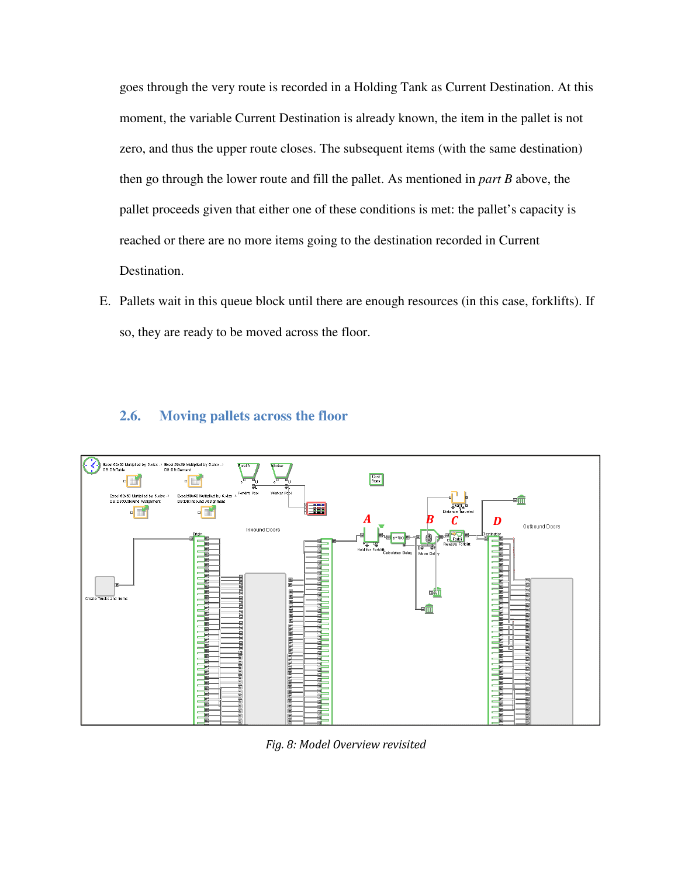goes through the very route is recorded in a Holding Tank as Current Destination. At this moment, the variable Current Destination is already known, the item in the pallet is not zero, and thus the upper route closes. The subsequent items (with the same destination) then go through the lower route and fill the pallet. As mentioned in *part B* above, the pallet proceeds given that either one of these conditions is met: the pallet's capacity is reached or there are no more items going to the destination recorded in Current Destination.

E. Pallets wait in this queue block until there are enough resources (in this case, forklifts). If so, they are ready to be moved across the floor.

### **2.6. Moving pallets across the floor**



*Fig. 8: Model Overview revisited*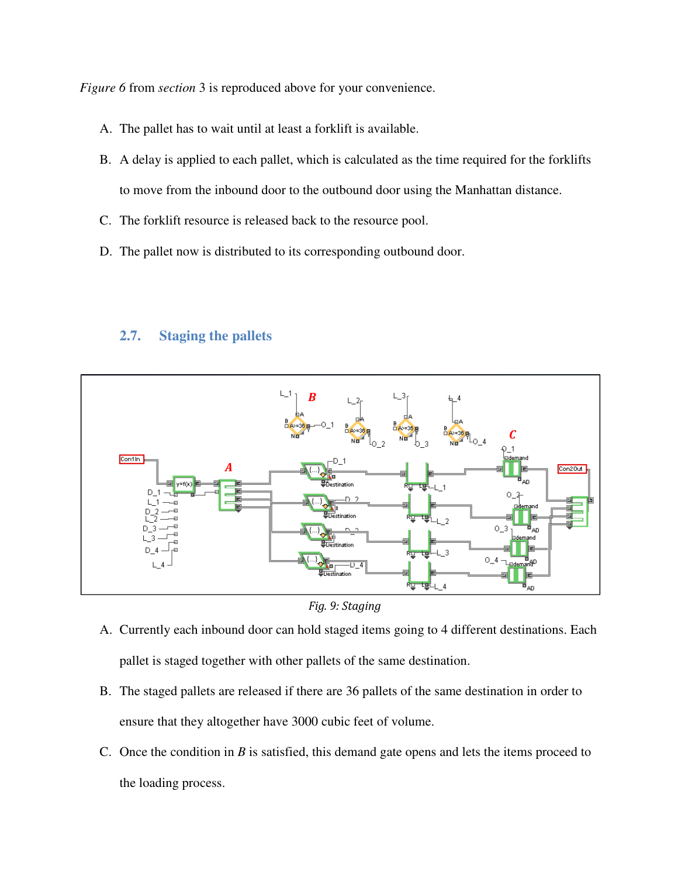*Figure 6* from *section* 3 is reproduced above for your convenience.

- A. The pallet has to wait until at least a forklift is available.
- B. A delay is applied to each pallet, which is calculated as the time required for the forklifts to move from the inbound door to the outbound door using the Manhattan distance.
- C. The forklift resource is released back to the resource pool.
- D. The pallet now is distributed to its corresponding outbound door.

# **2.7. Staging the pallets**



*Fig. 9: Staging* 

- A. Currently each inbound door can hold staged items going to 4 different destinations. Each pallet is staged together with other pallets of the same destination.
- B. The staged pallets are released if there are 36 pallets of the same destination in order to ensure that they altogether have 3000 cubic feet of volume.
- C. Once the condition in *B* is satisfied, this demand gate opens and lets the items proceed to the loading process.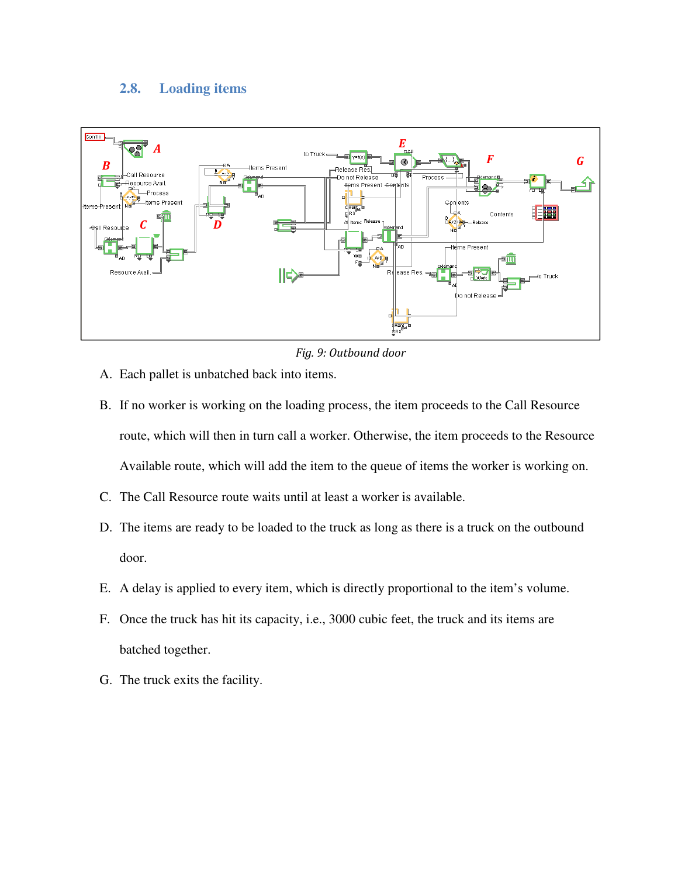### **2.8. Loading items**



*Fig. 9: Outbound door* 

- A. Each pallet is unbatched back into items.
- B. If no worker is working on the loading process, the item proceeds to the Call Resource route, which will then in turn call a worker. Otherwise, the item proceeds to the Resource Available route, which will add the item to the queue of items the worker is working on.
- C. The Call Resource route waits until at least a worker is available.
- D. The items are ready to be loaded to the truck as long as there is a truck on the outbound door.
- E. A delay is applied to every item, which is directly proportional to the item's volume.
- F. Once the truck has hit its capacity, i.e., 3000 cubic feet, the truck and its items are batched together.
- G. The truck exits the facility.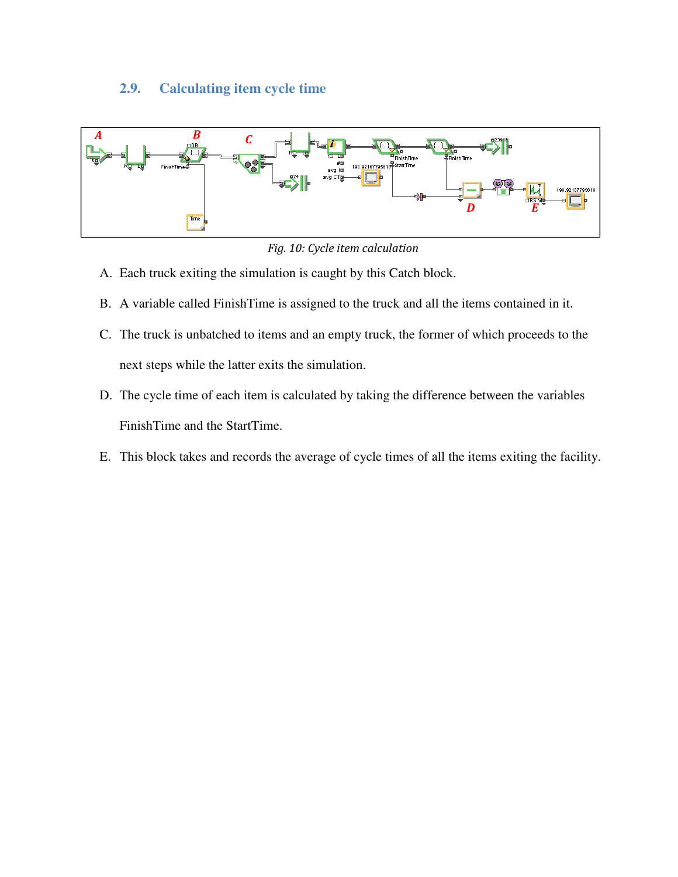# **2.9. Calculating item cycle time**



*Fig. 10: Cycle item calculation* 

- A. Each truck exiting the simulation is caught by this Catch block.
- B. A variable called FinishTime is assigned to the truck and all the items contained in it.
- C. The truck is unbatched to items and an empty truck, the former of which proceeds to the next steps while the latter exits the simulation.
- D. The cycle time of each item is calculated by taking the difference between the variables FinishTime and the StartTime.
- E. This block takes and records the average of cycle times of all the items exiting the facility.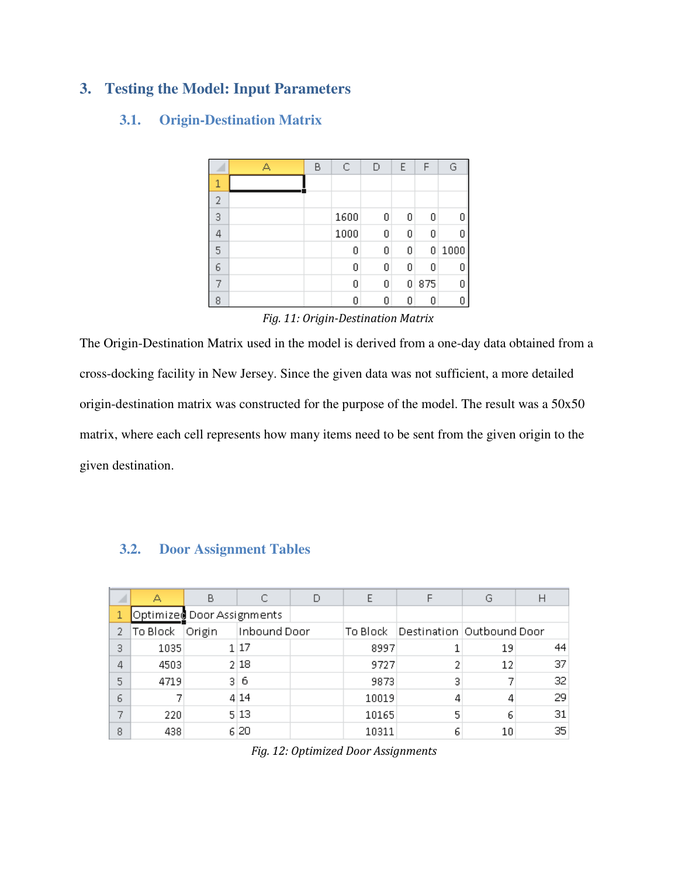# **3. Testing the Model: Input Parameters**

### **3.1. Origin-Destination Matrix**

|                | Δ | В | С    | D | E | F   | G    |
|----------------|---|---|------|---|---|-----|------|
| $\mathbf{1}$   |   |   |      |   |   |     |      |
| $\overline{2}$ |   |   |      |   |   |     |      |
| 3              |   |   | 1600 | 0 | 0 | 0   | 0    |
| 4              |   |   | 1000 | 0 | 0 | 0   | 0    |
| 5              |   |   | 0    | 0 | 0 | 0   | 1000 |
| 6              |   |   | 0    | 0 | 0 | 0   | 0    |
|                |   |   | 0    | 0 | 0 | 875 | 0    |
| 8              |   |   | 0    | 0 | 0 |     | 0    |

*Fig. 11: Origin-Destination Matrix* 

The Origin-Destination Matrix used in the model is derived from a one-day data obtained from a cross-docking facility in New Jersey. Since the given data was not sufficient, a more detailed origin-destination matrix was constructed for the purpose of the model. The result was a 50x50 matrix, where each cell represents how many items need to be sent from the given origin to the given destination.

### **3.2. Door Assignment Tables**

|   | А        | В                          |              | E          |                             | G  |    |
|---|----------|----------------------------|--------------|------------|-----------------------------|----|----|
|   |          | Optimized Door Assignments |              |            |                             |    |    |
| 2 | To Block | Origin                     | Inbound Door | To Block – | Destination   Outbound Door |    |    |
| 3 | 1035     |                            | 1 17         | 8997       |                             | 19 | 44 |
| 4 | 4503     |                            | 2 18         | 9727       | 2                           | 12 | 37 |
| 5 | 4719     | 31                         | 6            | 9873       | з                           |    | 32 |
| 6 |          |                            | 4 14         | 10019      | 4                           |    | 29 |
|   | 220      |                            | 5 13         | 10165      | 5                           | 6  | 31 |
| 8 | 438      |                            | 6 20         | 10311      | 6                           | 10 | 35 |

|  | Fig. 12: Optimized Door Assignments |
|--|-------------------------------------|
|  |                                     |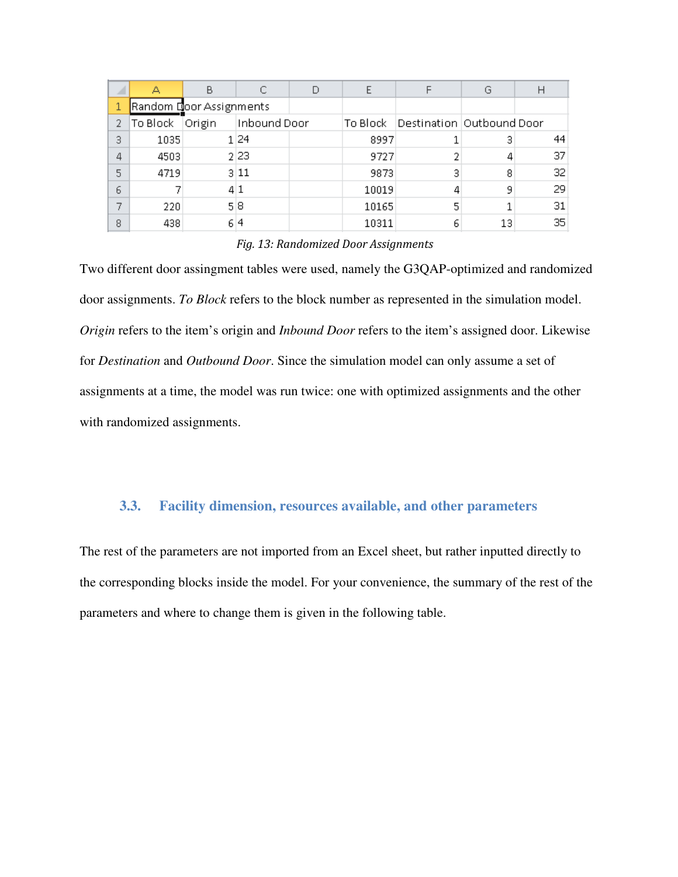|    |                         | В      |              | E     |                                        | G  |    |
|----|-------------------------|--------|--------------|-------|----------------------------------------|----|----|
|    | Random Door Assignments |        |              |       |                                        |    |    |
| 2. | To Block                | Origin | Inbound Door |       | To Block   Destination   Outbound Door |    |    |
| з  | 1035                    |        | 124          | 8997  |                                        | З  | 44 |
| 4  | 4503                    |        | 2 2 3        | 9727  | 2                                      |    | 37 |
| 5  | 4719                    |        | 3 11         | 9873  | 3                                      | 8  | 32 |
| 6  |                         |        | 41           | 10019 | 4                                      | 9  | 29 |
| ┑  | 220                     |        | 518          | 10165 | 5                                      |    | 31 |
| 8  | 438                     |        | 614          | 10311 | 6                                      | 13 | 35 |

#### *Fig. 13: Randomized Door Assignments*

Two different door assingment tables were used, namely the G3QAP-optimized and randomized door assignments. *To Block* refers to the block number as represented in the simulation model. *Origin* refers to the item's origin and *Inbound Door* refers to the item's assigned door. Likewise for *Destination* and *Outbound Door*. Since the simulation model can only assume a set of assignments at a time, the model was run twice: one with optimized assignments and the other with randomized assignments.

#### **3.3. Facility dimension, resources available, and other parameters**

The rest of the parameters are not imported from an Excel sheet, but rather inputted directly to the corresponding blocks inside the model. For your convenience, the summary of the rest of the parameters and where to change them is given in the following table.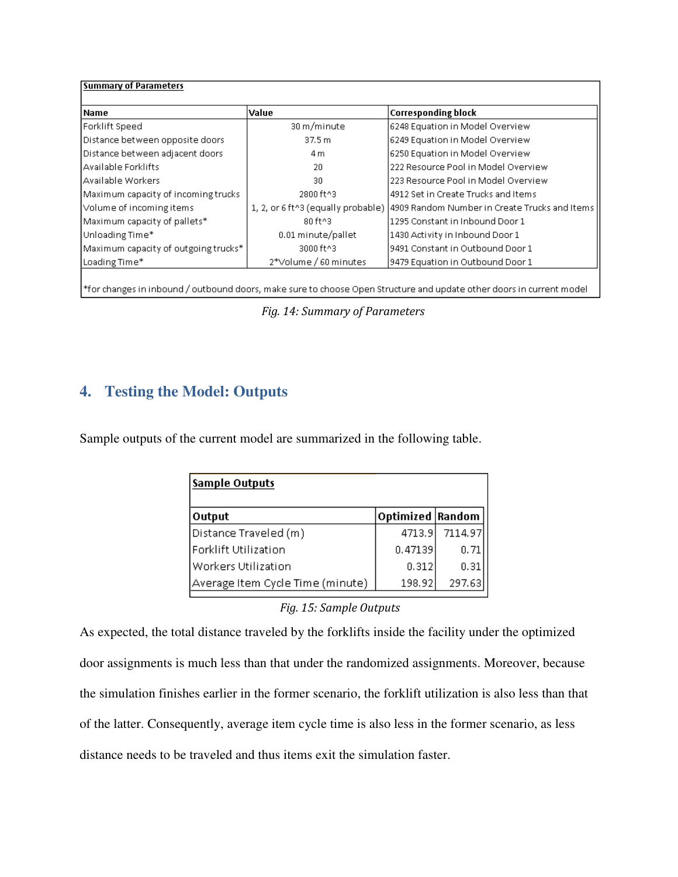| l Name                               | Value                              | <b>Corresponding block</b>                    |
|--------------------------------------|------------------------------------|-----------------------------------------------|
| Forklift Speed                       | 30 m/minute                        | 6248 Equation in Model Overview               |
| Distance between opposite doors      | 37.5 m                             | 6249 Equation in Model Overview               |
| Distance between adjacent doors      | 4 m                                | 6250 Equation in Model Overview               |
| l Available Forklifts                | 20                                 | 222 Resource Pool in Model Overview           |
| lAvailable Workers                   | 30                                 | 223 Resource Pool in Model Overview           |
| Maximum capacity of incoming trucks  | 2800 ft^3                          | 4912 Set in Create Trucks and Items           |
| Volume of incoming items             | 1, 2, or 6 ft^3 (equally probable) | 4909 Random Number in Create Trucks and Items |
| Maximum capacity of pallets*         | 80 ft^3                            | 1295 Constant in Inbound Door 1               |
| Unloading Time*                      | 0.01 minute/pallet                 | 1430 Activity in Inbound Door 1               |
| Maximum capacity of outgoing trucks* | 3000 ft^3                          | 9491 Constant in Outbound Door 1              |
| Loading Time*                        | 2*Volume / 60 minutes              | 9479 Equation in Outbound Door 1              |

*Fig. 14: Summary of Parameters* 

# **4. Testing the Model: Outputs**

Sample outputs of the current model are summarized in the following table.

| <b>Sample Outputs</b>            |                    |         |
|----------------------------------|--------------------|---------|
| Output                           | Optimized   Random |         |
| Distance Traveled (m)            | 4713.9             | 7114.97 |
| Forklift Utilization             | 0.47139            | 0.71    |
| l Workers Utilization            | 0.312              | 0.31    |
| Average Item Cycle Time (minute) | 198.92             | 297.63  |

*Fig. 15: Sample Outputs* 

As expected, the total distance traveled by the forklifts inside the facility under the optimized door assignments is much less than that under the randomized assignments. Moreover, because the simulation finishes earlier in the former scenario, the forklift utilization is also less than that of the latter. Consequently, average item cycle time is also less in the former scenario, as less distance needs to be traveled and thus items exit the simulation faster.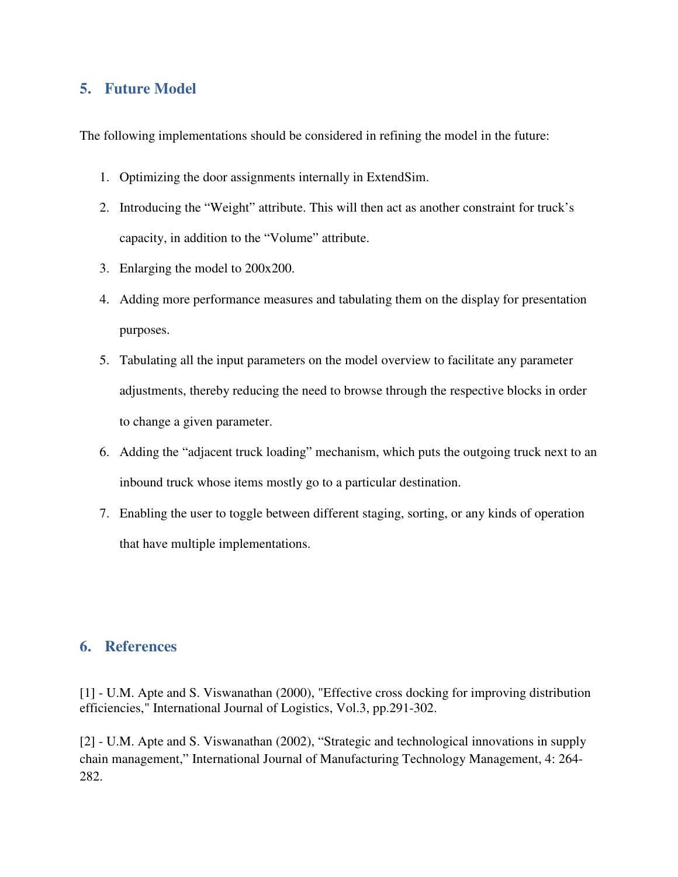# **5. Future Model**

The following implementations should be considered in refining the model in the future:

- 1. Optimizing the door assignments internally in ExtendSim.
- 2. Introducing the "Weight" attribute. This will then act as another constraint for truck's capacity, in addition to the "Volume" attribute.
- 3. Enlarging the model to 200x200.
- 4. Adding more performance measures and tabulating them on the display for presentation purposes.
- 5. Tabulating all the input parameters on the model overview to facilitate any parameter adjustments, thereby reducing the need to browse through the respective blocks in order to change a given parameter.
- 6. Adding the "adjacent truck loading" mechanism, which puts the outgoing truck next to an inbound truck whose items mostly go to a particular destination.
- 7. Enabling the user to toggle between different staging, sorting, or any kinds of operation that have multiple implementations.

#### **6. References**

[1] - U.M. Apte and S. Viswanathan (2000), "Effective cross docking for improving distribution efficiencies," International Journal of Logistics, Vol.3, pp.291-302.

[2] - U.M. Apte and S. Viswanathan (2002), "Strategic and technological innovations in supply chain management," International Journal of Manufacturing Technology Management, 4: 264- 282.